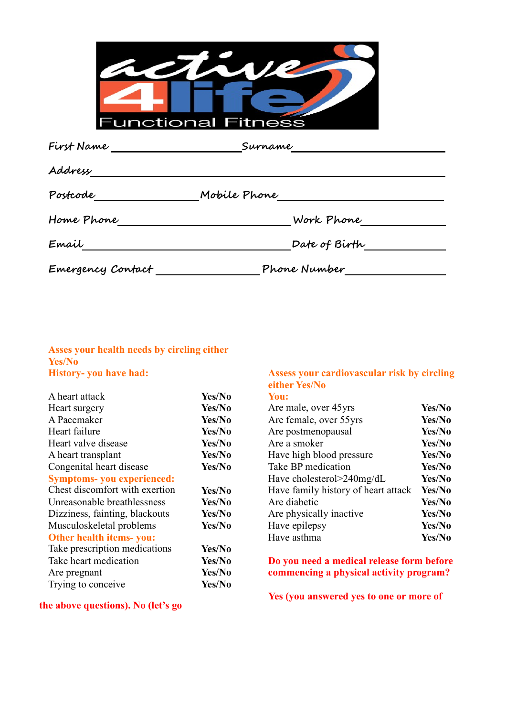| <b>Functional Fitness</b> |  |
|---------------------------|--|

| First Name        | Surname       |  |
|-------------------|---------------|--|
| Address           |               |  |
| Postcode          | Mobile Phone  |  |
| Home Phone        | Work Phone    |  |
| Email             | Date of Birth |  |
| Emergency Contact | Phone Number  |  |

## **Asses your health needs by circling either Yes/No History- you have had:**

|                                                                                                                    |        | <b>CILIICI TUS/INU</b>                    |        |
|--------------------------------------------------------------------------------------------------------------------|--------|-------------------------------------------|--------|
| A heart attack                                                                                                     | Yes/No | You:                                      |        |
| Heart surgery                                                                                                      | Yes/No | Are male, over 45yrs                      | Yes/No |
| A Pacemaker                                                                                                        | Yes/No | Are female, over 55yrs                    | Yes/No |
| Heart failure                                                                                                      | Yes/No | Are postmenopausal                        | Yes/No |
| Heart valve disease                                                                                                | Yes/No | Are a smoker                              | Yes/No |
| A heart transplant                                                                                                 | Yes/No | Have high blood pressure                  | Yes/No |
| Congenital heart disease                                                                                           | Yes/No | Take BP medication                        | Yes/No |
| <b>Symptoms- you experienced:</b>                                                                                  |        | Have cholesterol>240mg/dL                 | Yes/No |
| Chest discomfort with exertion                                                                                     | Yes/No | Have family history of heart attack       | Yes/No |
| Unreasonable breathlessness                                                                                        | Yes/No | Are diabetic                              | Yes/No |
| Dizziness, fainting, blackouts                                                                                     | Yes/No | Are physically inactive                   | Yes/No |
| Musculoskeletal problems                                                                                           | Yes/No | Have epilepsy                             | Yes/No |
| Other health items-you:                                                                                            |        | Have asthma                               | Yes/No |
| Take prescription medications                                                                                      | Yes/No |                                           |        |
| Take heart medication                                                                                              | Yes/No | Do you need a medical release form before |        |
| Are pregnant                                                                                                       | Yes/No | commencing a physical activity program?   |        |
| Trying to conceive                                                                                                 | Yes/No |                                           |        |
| $\mathbf{r}$ and $\mathbf{r}$ and $\mathbf{r}$ and $\mathbf{r}$ and $\mathbf{r}$ and $\mathbf{r}$ and $\mathbf{r}$ |        | Yes (you answered yes to one or more of   |        |

**the above questions). No (let's go**

## **Assess your cardiovascular risk by either Yes/No circling**